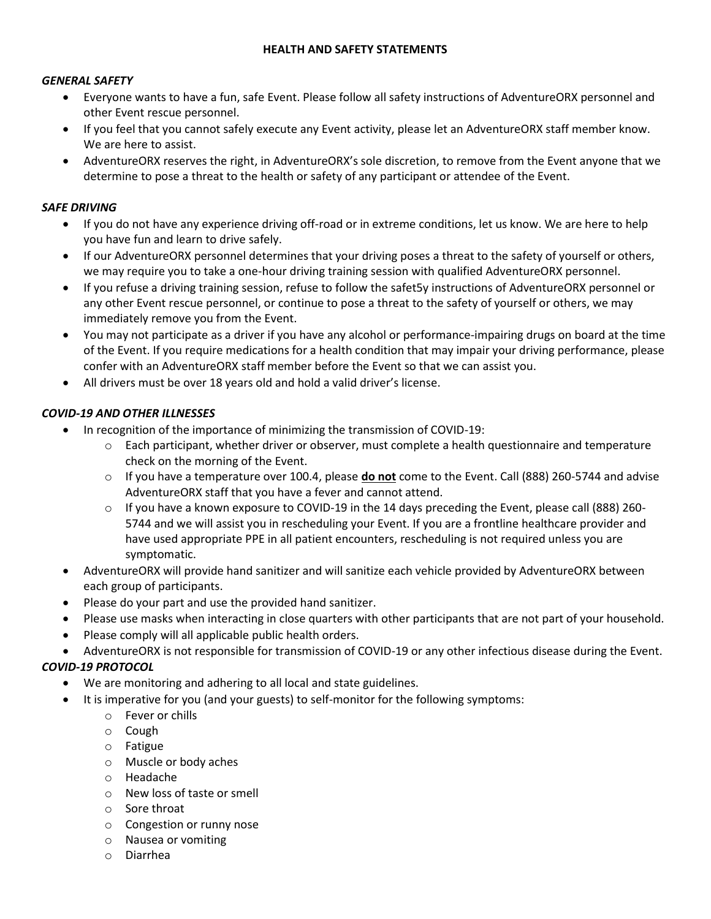### **HEALTH AND SAFETY STATEMENTS**

### *GENERAL SAFETY*

- Everyone wants to have a fun, safe Event. Please follow all safety instructions of AdventureORX personnel and other Event rescue personnel.
- If you feel that you cannot safely execute any Event activity, please let an AdventureORX staff member know. We are here to assist.
- AdventureORX reserves the right, in AdventureORX's sole discretion, to remove from the Event anyone that we determine to pose a threat to the health or safety of any participant or attendee of the Event.

### *SAFE DRIVING*

- If you do not have any experience driving off-road or in extreme conditions, let us know. We are here to help you have fun and learn to drive safely.
- If our AdventureORX personnel determines that your driving poses a threat to the safety of yourself or others, we may require you to take a one-hour driving training session with qualified AdventureORX personnel.
- If you refuse a driving training session, refuse to follow the safet5y instructions of AdventureORX personnel or any other Event rescue personnel, or continue to pose a threat to the safety of yourself or others, we may immediately remove you from the Event.
- You may not participate as a driver if you have any alcohol or performance-impairing drugs on board at the time of the Event. If you require medications for a health condition that may impair your driving performance, please confer with an AdventureORX staff member before the Event so that we can assist you.
- All drivers must be over 18 years old and hold a valid driver's license.

### *COVID-19 AND OTHER ILLNESSES*

- In recognition of the importance of minimizing the transmission of COVID-19:
	- $\circ$  Each participant, whether driver or observer, must complete a health questionnaire and temperature check on the morning of the Event.
	- o If you have a temperature over 100.4, please **do not** come to the Event. Call (888) 260-5744 and advise AdventureORX staff that you have a fever and cannot attend.
	- $\circ$  If you have a known exposure to COVID-19 in the 14 days preceding the Event, please call (888) 260-5744 and we will assist you in rescheduling your Event. If you are a frontline healthcare provider and have used appropriate PPE in all patient encounters, rescheduling is not required unless you are symptomatic.
- AdventureORX will provide hand sanitizer and will sanitize each vehicle provided by AdventureORX between each group of participants.
- Please do your part and use the provided hand sanitizer.
- Please use masks when interacting in close quarters with other participants that are not part of your household.
- Please comply will all applicable public health orders.
- AdventureORX is not responsible for transmission of COVID-19 or any other infectious disease during the Event.

## *COVID-19 PROTOCOL*

- We are monitoring and adhering to all local and state guidelines.
- It is imperative for you (and your guests) to self-monitor for the following symptoms:
	- o Fever or chills
	- o Cough
	- o Fatigue
	- o Muscle or body aches
	- o Headache
	- o New loss of taste or smell
	- o Sore throat
	- o Congestion or runny nose
	- o Nausea or vomiting
	- o Diarrhea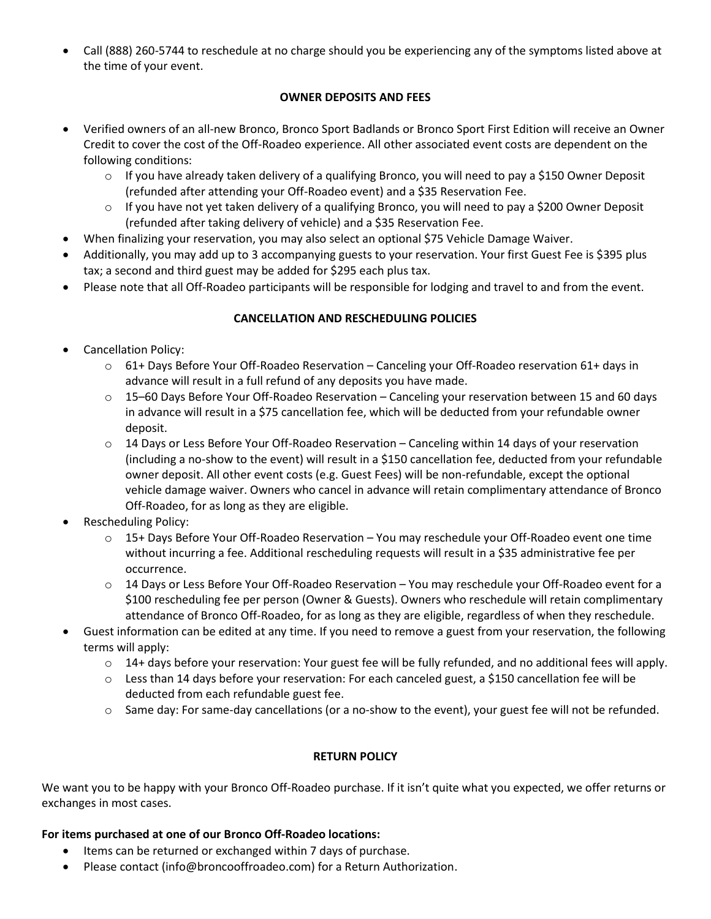• Call (888) 260-5744 to reschedule at no charge should you be experiencing any of the symptoms listed above at the time of your event.

# **OWNER DEPOSITS AND FEES**

- Verified owners of an all-new Bronco, Bronco Sport Badlands or Bronco Sport First Edition will receive an Owner Credit to cover the cost of the Off-Roadeo experience. All other associated event costs are dependent on the following conditions:
	- $\circ$  If you have already taken delivery of a qualifying Bronco, you will need to pay a \$150 Owner Deposit (refunded after attending your Off-Roadeo event) and a \$35 Reservation Fee.
	- $\circ$  If you have not yet taken delivery of a qualifying Bronco, you will need to pay a \$200 Owner Deposit (refunded after taking delivery of vehicle) and a \$35 Reservation Fee.
- When finalizing your reservation, you may also select an optional \$75 Vehicle Damage Waiver.
- Additionally, you may add up to 3 accompanying guests to your reservation. Your first Guest Fee is \$395 plus tax; a second and third guest may be added for \$295 each plus tax.
- Please note that all Off-Roadeo participants will be responsible for lodging and travel to and from the event.

# **CANCELLATION AND RESCHEDULING POLICIES**

- Cancellation Policy:
	- $\circ$  61+ Days Before Your Off-Roadeo Reservation Canceling your Off-Roadeo reservation 61+ days in advance will result in a full refund of any deposits you have made.
	- $\circ$  15–60 Days Before Your Off-Roadeo Reservation Canceling your reservation between 15 and 60 days in advance will result in a \$75 cancellation fee, which will be deducted from your refundable owner deposit.
	- $\circ$  14 Days or Less Before Your Off-Roadeo Reservation Canceling within 14 days of your reservation (including a no-show to the event) will result in a \$150 cancellation fee, deducted from your refundable owner deposit. All other event costs (e.g. Guest Fees) will be non-refundable, except the optional vehicle damage waiver. Owners who cancel in advance will retain complimentary attendance of Bronco Off-Roadeo, for as long as they are eligible.
- Rescheduling Policy:
	- o 15+ Days Before Your Off-Roadeo Reservation You may reschedule your Off-Roadeo event one time without incurring a fee. Additional rescheduling requests will result in a \$35 administrative fee per occurrence.
	- $\circ$  14 Days or Less Before Your Off-Roadeo Reservation You may reschedule your Off-Roadeo event for a \$100 rescheduling fee per person (Owner & Guests). Owners who reschedule will retain complimentary attendance of Bronco Off-Roadeo, for as long as they are eligible, regardless of when they reschedule.
- Guest information can be edited at any time. If you need to remove a guest from your reservation, the following terms will apply:
	- $\circ$  14+ days before your reservation: Your guest fee will be fully refunded, and no additional fees will apply.
	- $\circ$  Less than 14 days before your reservation: For each canceled guest, a \$150 cancellation fee will be deducted from each refundable guest fee.
	- $\circ$  Same day: For same-day cancellations (or a no-show to the event), your guest fee will not be refunded.

## **RETURN POLICY**

We want you to be happy with your Bronco Off-Roadeo purchase. If it isn't quite what you expected, we offer returns or exchanges in most cases.

#### **For items purchased at one of our Bronco Off-Roadeo locations:**

- Items can be returned or exchanged within 7 days of purchase.
- Please contact (info@broncooffroadeo.com) for a Return Authorization.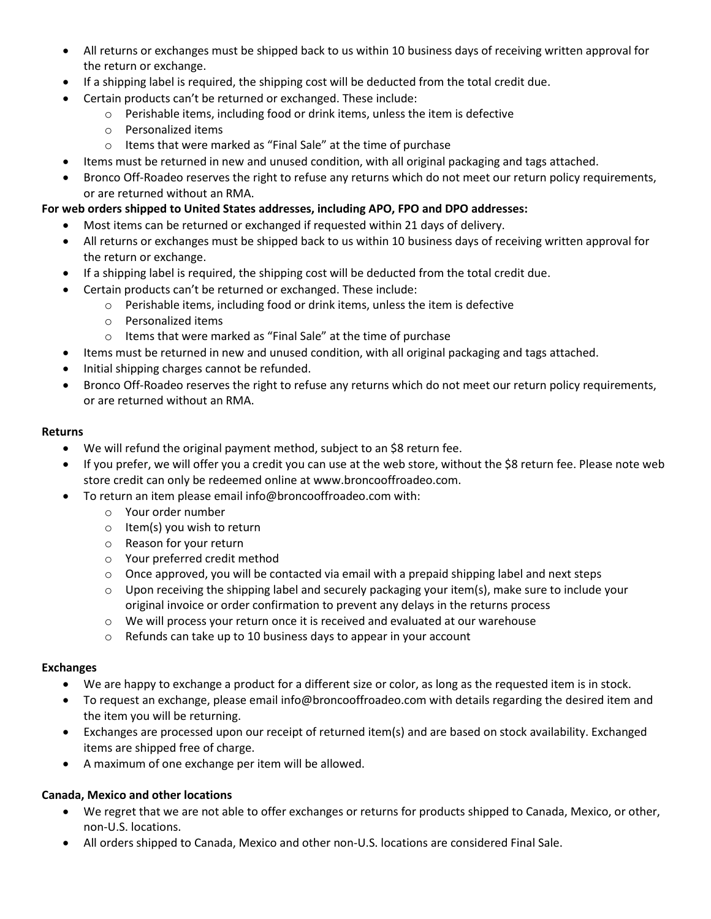- All returns or exchanges must be shipped back to us within 10 business days of receiving written approval for the return or exchange.
- If a shipping label is required, the shipping cost will be deducted from the total credit due.
- Certain products can't be returned or exchanged. These include:
	- o Perishable items, including food or drink items, unless the item is defective
	- o Personalized items
	- o Items that were marked as "Final Sale" at the time of purchase
- Items must be returned in new and unused condition, with all original packaging and tags attached.
- Bronco Off-Roadeo reserves the right to refuse any returns which do not meet our return policy requirements, or are returned without an RMA.

# **For web orders shipped to United States addresses, including APO, FPO and DPO addresses:**

- Most items can be returned or exchanged if requested within 21 days of delivery.
- All returns or exchanges must be shipped back to us within 10 business days of receiving written approval for the return or exchange.
- If a shipping label is required, the shipping cost will be deducted from the total credit due.
- Certain products can't be returned or exchanged. These include:
	- o Perishable items, including food or drink items, unless the item is defective
	- o Personalized items
	- o Items that were marked as "Final Sale" at the time of purchase
- Items must be returned in new and unused condition, with all original packaging and tags attached.
- Initial shipping charges cannot be refunded.
- Bronco Off-Roadeo reserves the right to refuse any returns which do not meet our return policy requirements, or are returned without an RMA.

## **Returns**

- We will refund the original payment method, subject to an \$8 return fee.
- If you prefer, we will offer you a credit you can use at the web store, without the \$8 return fee. Please note web store credit can only be redeemed online at [www.broncooffroadeo.com.](http://www.broncooffroadeo.com/)
	- To return an item please email info@broncooffroadeo.com with:
		- o Your order number
		- o Item(s) you wish to return
		- o Reason for your return
		- o Your preferred credit method
		- $\circ$  Once approved, you will be contacted via email with a prepaid shipping label and next steps
		- $\circ$  Upon receiving the shipping label and securely packaging your item(s), make sure to include your original invoice or order confirmation to prevent any delays in the returns process
		- $\circ$  We will process your return once it is received and evaluated at our warehouse
		- o Refunds can take up to 10 business days to appear in your account

## **Exchanges**

- We are happy to exchange a product for a different size or color, as long as the requested item is in stock.
- To request an exchange, please email info@broncooffroadeo.com with details regarding the desired item and the item you will be returning.
- Exchanges are processed upon our receipt of returned item(s) and are based on stock availability. Exchanged items are shipped free of charge.
- A maximum of one exchange per item will be allowed.

## **Canada, Mexico and other locations**

- We regret that we are not able to offer exchanges or returns for products shipped to Canada, Mexico, or other, non-U.S. locations.
- All orders shipped to Canada, Mexico and other non-U.S. locations are considered Final Sale.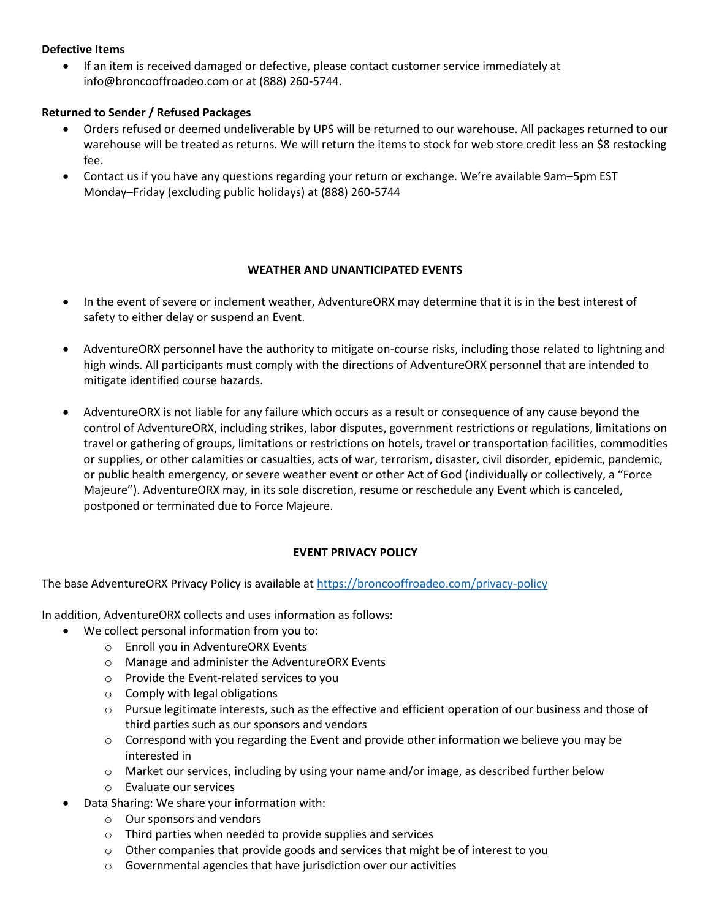### **Defective Items**

• If an item is received damaged or defective, please contact customer service immediately at info@broncooffroadeo.com or at (888) 260-5744.

### **Returned to Sender / Refused Packages**

- Orders refused or deemed undeliverable by UPS will be returned to our warehouse. All packages returned to our warehouse will be treated as returns. We will return the items to stock for web store credit less an \$8 restocking fee.
- Contact us if you have any questions regarding your return or exchange. We're available 9am–5pm EST Monday–Friday (excluding public holidays) at (888) 260-5744

#### **WEATHER AND UNANTICIPATED EVENTS**

- In the event of severe or inclement weather, AdventureORX may determine that it is in the best interest of safety to either delay or suspend an Event.
- AdventureORX personnel have the authority to mitigate on-course risks, including those related to lightning and high winds. All participants must comply with the directions of AdventureORX personnel that are intended to mitigate identified course hazards.
- AdventureORX is not liable for any failure which occurs as a result or consequence of any cause beyond the control of AdventureORX, including strikes, labor disputes, government restrictions or regulations, limitations on travel or gathering of groups, limitations or restrictions on hotels, travel or transportation facilities, commodities or supplies, or other calamities or casualties, acts of war, terrorism, disaster, civil disorder, epidemic, pandemic, or public health emergency, or severe weather event or other Act of God (individually or collectively, a "Force Majeure"). AdventureORX may, in its sole discretion, resume or reschedule any Event which is canceled, postponed or terminated due to Force Majeure.

## **EVENT PRIVACY POLICY**

The base AdventureORX Privacy Policy is available at<https://broncooffroadeo.com/privacy-policy>

In addition, AdventureORX collects and uses information as follows:

- We collect personal information from you to:
	- o Enroll you in AdventureORX Events
	- o Manage and administer the AdventureORX Events
	- o Provide the Event-related services to you
	- $\circ$  Comply with legal obligations
	- o Pursue legitimate interests, such as the effective and efficient operation of our business and those of third parties such as our sponsors and vendors
	- $\circ$  Correspond with you regarding the Event and provide other information we believe you may be interested in
	- o Market our services, including by using your name and/or image, as described further below
	- o Evaluate our services
- Data Sharing: We share your information with:
	- o Our sponsors and vendors
	- o Third parties when needed to provide supplies and services
	- $\circ$  Other companies that provide goods and services that might be of interest to you
	- o Governmental agencies that have jurisdiction over our activities